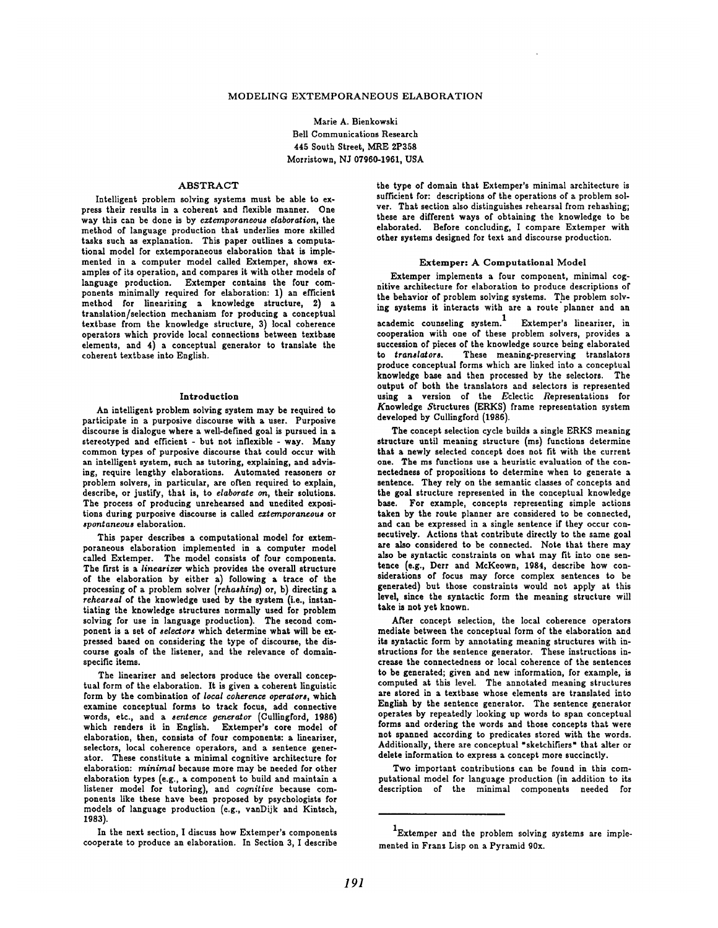## MODELING EXTEMPORANEOUS ELABORATION

Marie A. Bienkowski Bell Communications Research 445 South Street, MRE 2P358 Morristown, NJ 07960-1961, USA

# ABSTRACT

Intelligent problem solving systems must be able to express their results in a coherent and flexible manner. One way this can be done is by *eztemporaneous elaboration,* the method of language production that underlies more skilled tasks such as explanation. This paper outlines a computational model for extemporaneous elaboration that is implemented in a computer model called Extemper, shows examples of its operation, and compares it with other models of language production. Extemper contains the four components minimally required for elaboration: 1) an efficient method for linearizing a knowledge structure, 2) a translation/selection mechanism for producing a conceptual textbase from the knowledge structure, 3) local coherence operators which provide local connections between textbase elements, and  $4)$  a conceptual generator to translate the coherent textbase into English.

#### Introduction

An intelligent problem solving system may be required to participate in a purposive discourse with a user. Purposive discourse is dialogue where a well-defined goal is pursued in a stereotyped and efficient - but not inflexible - way. Many common types of purposive discourse that could occur with an intelligent system, such as tutoring, explaining, and advising, require lengthy elaborations. Automated reasoners or problem solvers, in particular, are often required to explain, describe, or justify, that is, to *elaborate on,* their solutions. The process of producing unrehearsed and unedited expositions during purposive discourse is called *ezternporaneous* or *spontaneous* elaboration.

This paper describes a computational model for extemporaneous elaboration implemented in a computer model called Extemper. The model consists of four components. The first is a *linearizer* which provides the overall structure of the elaboration by either a) following a trace of the processing of a problem solver *(rehashing)* or, b) directing a *rehearsal* of the knowledge used by the system (i.e., instantiating the knowledge structures normally used for problem solving for use in language production). The second component is a set of *selectors* which determine what will be expressed based on considering the type of discourse, the discourse goals of the listener, and the relevance of domainspecific items.

The linearizer and selectors produce the overall conceptual form of the elaboration. It is given a coherent linguistic form by the combination of *local coherence operators,* which examine conceptual forms to track focus, add connective words, etc., and a sentence *generator* (Cullingford, 1986) which renders it in English. Extemper's core model of elaboration, then, consists of four components: a linearizer, selectors, local coherence operators, and a sentence generator. These constitute a minimal cognitive architecture for elaboration: *minimal* because more may be needed for other elaboration types (e.g., a component to build and maintain a listener model for tutoring), and *cognitive* because components like these have been proposed by psychologists for models of language production (e.g., vanDijk and Kintsch, 1083).

In the next section, I discuss how Extemper's components cooperate to produce an elaboration. In Section 3, I describe the type of domain that Extemper's minimal architecture is sufficient for: descriptions of the operations of a problem solver. That section also distinguishes rehearsal from rehashing; these are different ways of obtaining the knowledge to be elaborated. Before concluding, I compare Extemper with other systems designed for text and discourse production.

## Extemper: A Computational Model

Extemper implements a four component, minimal cognitive architecture for elaboration to produce descriptions of the behavior of problem solving systems. The problem solving systems it interacts with are a route'planner and an academic counseling system.<sup>1</sup> Extemper's linearizer, in cooperation with one of these problem solvers, provides a

succession of pieces of the knowledge source being elaborated to *translators.* These meaning-preserving translators produce conceptual forms which are linked into a conceptual knowledge base and then processed by the selectors. The output of both the translators and selectors is represented using a version of the Eclectic Representations for Knowledge Structures (ERKS) frame representation system developed by Cullingford (1986).

The concept selection cycle builds a single ERKS meaning structure until meaning structure (ms) functions determine that a newly selected concept does not fit with the current one. The ms functions use a heuristic evaluation of the connectedness of propositions to determine when to generate a sentence. They rely on the semantic classes of concepts and the goal structure represented in the conceptual knowledge base. For example, concepts representing simple actions taken by the route planner are considered to be connected, and can be expressed in a single sentence if they occur consecutively. Actions that contribute directly to the same goal are also considered to be connected. Note that there may also be syntactic constraints on what may fit into one sentence (e.g., Derr and McKeown, 1984, describe how considerations of focus may force complex sentences to be generated) but those constraints would not apply at this level, since the syntactic form the meaning structure will take is not yet known.

After concept selection, the local coherence operators mediate between the conceptual form of the elaboration and its syntactic form by annotating meaning structures with instructions for the sentence generator. These instructions increase the connectedness or local coherence of the sentences to be generated; given and new information, for example, is computed at this level. The annotated meaning structures are stored in a textbase whose elements are translated into English by the sentence generator. The sentence generator operates by repeatedly looking up words to span conceptual forms and ordering the words and those concepts that were not spanned according to predicates stored with the words. Additionally, there are conceptual "sketchifiers" that alter or delete information to express a concept more succinctly.

Two important contributions can be found in this computational model for language production (in addition to its description of the minimal components needed for

<sup>1</sup>Extemper and the problem solving systems are implemented in Frans Lisp on a Pyramid 90x.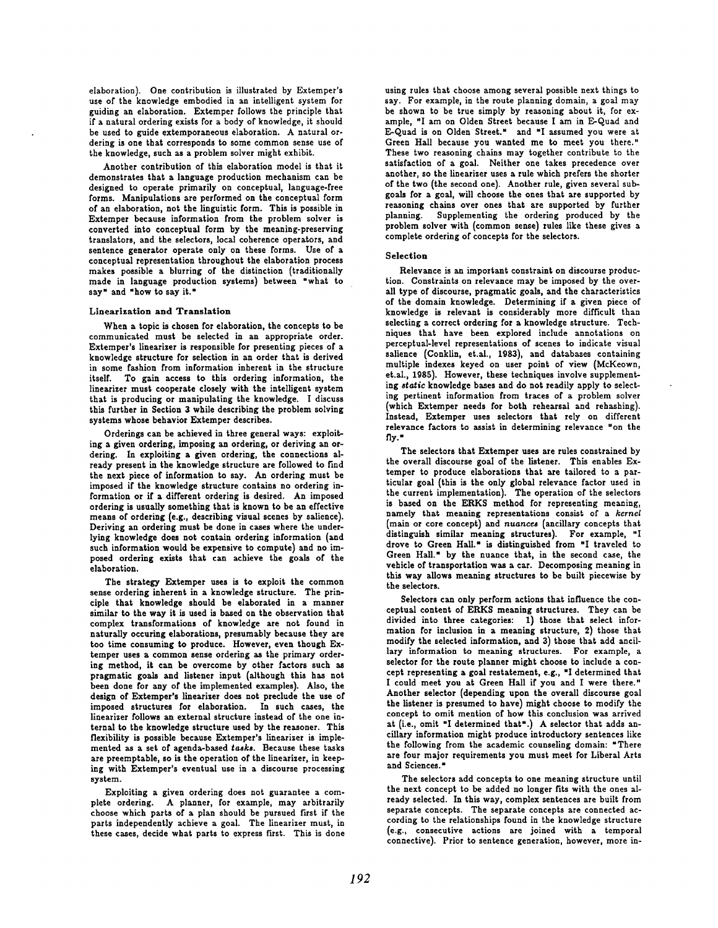elaboration). One contribution is illustrated by Extemper's use of the knowledge embodied in an intelligent system for guiding an elaboration. Extemper follows the principle that if a natural ordering exists for a body of knowledge, it should be used to guide extemporaneous elaboration. A natural ordering is one that corresponds to some common sense use of the knowledge, such as a problem solver might exhibit.

Another contribution of this elaboration model is that it demonstrates that a language production mechanism can be designed to operate primarily on conceptual, language-free forms. Manipulations are performed on the conceptual form of an elaboration, not the linguistic form. This is possible in Extemper because information from the problem solver is converted into conceptual form by the meaning-preserving translators, and the selectors, local coherence operators, and sentence generator operate only on these forms. Use of a conceptual representation throughout the elaboration process makes possible a blurring of the distinction (traditionally made in language production systems) between "what to say" and "how to say it."

#### Linearizatlon and Translation

When a topic is chosen for elaboration, the concepts to be communicated must be selected in an appropriate order. Extemper's linearizer is responsible for presenting pieces of a knowledge structure for selection in an order that is derived in some fashion from information inherent in the structure itself. To gain access to this ordering information, the linearizer must cooperate closely with the intelligent system that is producing or manipulating the knowledge. I discuss this further in Section 3 while describing the problem solving systems whose behavior Extemper describes.

Orderings can be achieved in three general ways: exploiting a given ordering, imposing an ordering, or deriving an ordering. In exploiting a given ordering, the connections already present in the knowledge structure are followed to find the next piece of information to say. An ordering must be imposed if the knowledge structure contains no ordering information or if a different ordering is desired. An imposed ordering is usually something that is known to be an effective means of ordering (e.g., describing visual scenes by salience). Deriving an ordering must be done in cases where the underlying knowledge does not contain ordering information (and such information would be expensive to compute) and no imposed ordering exists that can achieve the goals of the elaboration.

The strategy Extemper uses is to exploit the common sense ordering inherent in a knowledge structure. The principle that knowledge should be elaborated in a manner similar to the way it is used is based on the observation that complex transformations of knowledge are not found in naturally occuring elaborations, presumably because they are too time consuming to produce. However, even though Extemper uses a common sense ordering as the primary ordering method, it can be overcome by other factors such as pragmatic goals and listener input (although this has not been done for any of the implemented examples). Also, the design of Extemper's lineariser does not preclude the use of imposed structures for elaboration. In such cases, the linearizer follows an external structure instead of the one internal to the knowledge structure used by the reasoner. This flexibility is possible because Extemper's linearizer is implemented as a set of agenda-based *tasks.* Because these tasks are preemptable, so is the operation of the linearizer, in keeping with Extemper's eventual use in a discourse processing system.

Exploiting a given ordering does not guarantee a complete ordering. A planner, for example, may arbitrarily choose which parts of a plan should be pursued first if the parts independently achieve a goal. The linearizer must, in these cases, decide what parts to express first. This is done

using rules that choose among several possible next things to say. For example, in the route planning domain, a goal may be shown to be true simply by reasoning about it, for example, "I am on Olden Street because I am in E-Quad and E-Quad is on Olden Street." and "I assumed you were at Green Hall because you wanted me to meet you there." These two reasoning chains may together contribute to the satisfaction of a goal. Neither one takes precedence over another, so the linearizer uses a rule which prefers the shorter of the two (the second one). Another rule, given several subgoals for a goal, will choose the ones that are supported by reasoning chains over ones that are supported by further planning. Supplementing the ordering produced by the problem solver with (common sense) rules like these gives a complete ordering of concepts for the selectors.

#### Selection

Relevance is an important constraint on discourse production. Constraints on relevance may be imposed by the overall type of discourse, pragmatic goals, and the characteristics of the domain knowledge. Determining if a given piece of knowledge is relevant is considerably more difficult than selecting a correct ordering for a knowledge structure. Techniques that have been explored include annotations on perceptual-level representations of scenes to indicate visual salience (Conklin, et.ai., 1983), and databases containing multiple indexes keyed on user point of view (McKeown, et.ai., 1985). However, these techniques involve supplementing *static* knowledge bases and do not readily apply to selecting pertinent information from traces of a problem solver (which Extemper needs for both rehearsal and rehashing). Instead, Extemper uses selectors that rely on different relevance factors to assist in determining relevance "on the fly."

The selectors that Extemper uses are rules constrained by the overall discourse goal of the listener. This enables Extemper to produce elaborations that are tailored to a particular goal (this is the only global relevance factor used in the current implementation). The operation of the selectors is based on the ERKS method for representing meaning, namely that meaning representations consist of a kernel (main or core concept) and *nuances* (ancillary concepts that distinguish similar meaning structures). For example, "I drove to Green Hall." is distinguished from "I traveled to Green Hall." by the nuance that, in the second case, the vehicle of transportation was a car. Decomposing meaning in this way allows meaning structures to be built piecewise by the selectors.

Selectors can only perform actions that influence the conceptual content of ERKS meaning structures. They can be divided into three categories: 1) those that select information for inclusion in a meaning structure, 2) those that modify the selected information, and 3) those that add ancillary information to meaning structures. For example, a selector for the route planner might choose to include a concept representing a goal restatement, e.g., "I determined that I could meet you at Green Hall if you and I were there." Another selector (depending upon the overall discourse goal the listener is presumed to have) might choose to modify the concept to omit mention of how this conclusion was arrived at (i.e., omit "I determined that".) A selector that adds ancillary information might produce introductory sentences like the following from the academic counseling domain: "There are four major requirements you must meet for Liberal Arts and Sciences. =

The selectors add concepts to one meaning structure until the next concept to be added no longer fits with the ones already selected. In this way, complex sentences are built from separate concepts. The separate concepts are connected according to the relationships found in the knowledge structure (e.g., consecutive actions are joined with a temporal connective). Prior to sentence generation, however, more in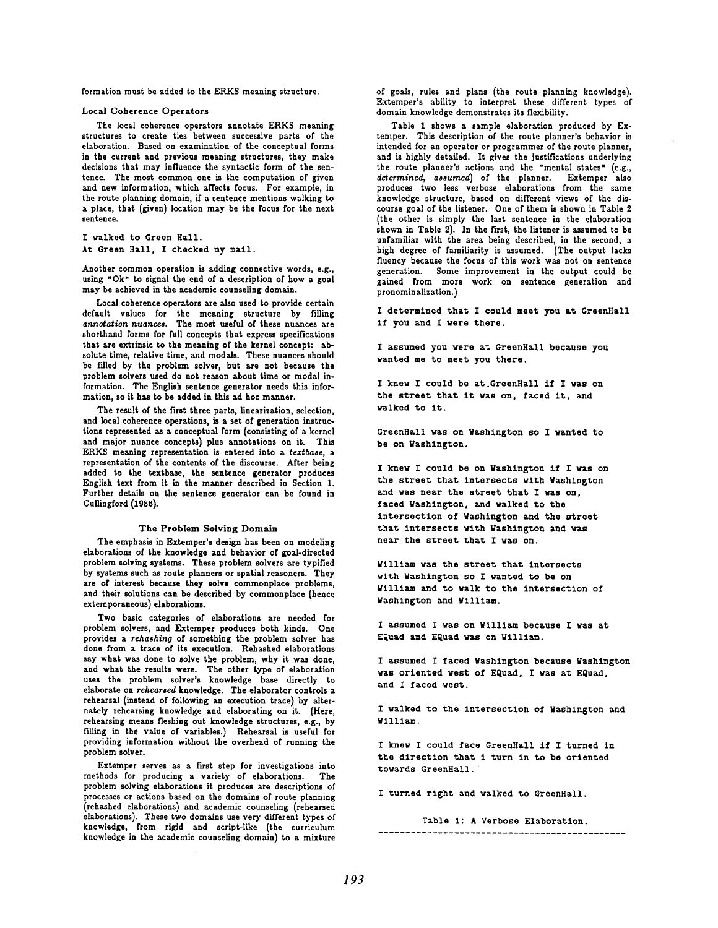formation must be added to the ERKS meaning structure.

#### Local Coherence Operators

The local coherence operators annotate ERKS meaning structures to create ties between successive parts of the elaboration. Based on examination of the conceptual forms in the current and previous meaning structures, they make decisions that may influence the syntactic form of the sentence. The most common one is the computation of given and new information, which affects focus. For example, in the route planning domain, if a sentence mentions walking to a place, that (given) location may be the focus for the next sentence.

I walked to Green Hall.

At Green Hall, I checked my mail.

Another common operation is adding connective words, e.g., using "Ok" to signal the end of a description of how a goal may be achieved in the academic counseling domain.

Local coherence operators are also used to provide certain default values for the meaning structure by filling *annotation nuances.* The most useful of these nuances are shorthand forms for full concepts that express specifications that are extrinsic to the meaning of the kernel concept: absolute time, relative time, and modals. These nuances should be filled by the problem solver, but are not because the problem solvers used do not reason about time or modal information. The English sentence generator needs this information, so it has to be added in this ad hoc manner.

The result of the first three parts, linearization, selection, and local coherence operations, is a set of generation instructions represented as a conceptual form (consisting of a kernel and major nuance concepts) plus annotations on it. This ERKS meaning representation is entered into a *teztbase, a*  representation of the contents of the discourse. After being added to the textbase, the sentence generator produces English text from it in the manner described in Section 1. Further details on the sentence generator can be found in Cullingford (1986).

## The Problem Solving Domain

The emphasis in Extemper's design has been on modeling elaborations of the knowledge and behavior of goal-directed problem solving systems. These problem solvers are typified by systems such as route planners or spatial reasoners. They are of interest because they solve commonplace problems, and their solutions can be described by commonplace (hence extemporaneous) elaborations.

Two basic categories of elaborations are needed for problem solvers, and Extemper produces both kinds. One provides a *rehashing* of something the problem solver has done from a trace of its execution. Rehashed elaborations say what was done to solve the problem, why it was done, and what the results were. The other type of elaboration uses the problem solver's knowledge base directly to elaborate on *rehearsed* knowledge. The elaborator controls a rehearsal (instead of following an execution trace) by alternately rehearsing knowledge and elaborating on it. (Here, rehearsing means fleshing out knowledge structures, e.g., by filling in the value of variables.) Rehearsal is useful for providing information without the overhead of running the problem solver.

Extemper serves as a first step for investigations into methods for producing a variety of elaborations. The problem solving elaborations it produces are descriptions of processes or actions based on the domains of route planning (rehashed elaborations) and academic counseling (rehearsed elaborations). These two domains use very different types of knowledge, from rigid and script-like (the curriculum knowledge in the academic counseling domain) to a mixture of goals, rules and plans (the route planning knowledge). Extemper's ability to interpret these different types of domain knowledge demonstrates its flexibility.

Table 1 shows a sample elaboration produced by Extemper. This description of the route planner's behavior is intended for an operator or programmer of the route planner, and is highly detailed. It gives the justifications underlying the route planner's actions and the "mental states" (e.g., determined, assumed) of the planner. Extemper also produces two less verbose elaborations from the same knowledge structure, based on different views of the discourse goal of the listener. One of them is shown in Table 2 (the other is simply the last sentence in the elaboration shown in Table 2). In the first, the listener is assumed to be unfamiliar with the area being described, in the second, a high degree of familiarity is assumed. (The output lacks fluency because the focus of this work was not on sentence generation. Some improvement in the output could be gained from more work on sentence generation and pronominalization.)

I determined that I could meet you at GreenHall if you and I were there.

I assumed you were at GreenHall because you wanted me to meet you there.

I knew I could be at.GreenHall if I was on the street that it was on, faced it, and walked to it.

GreenHall was on Washington so I wanted to be on Washington.

I knew I could be on Washington if I was on the street that intersects wlth Washington and was near the street that I was on, faced Washington, and walked to the intersection of Washington and the street that intersects with Washington and was near the street that I was on.

William was the street that intersects with Washlngton so I wanted to be on William and to walk to the intersection of Nashington and ¥1111am.

I assumed I was on William because I was at EQuad and EQuad was on William.

I assumed I faced Washington because Washington was oriented west of EQuad, I was at EQuad, and I faced west.

I walked to the intersection of Washington and Wllllam.

I knew I could face GreenHall if I turned in the direction that i turn in to be oriented towards GreenHall.

I turned right and walked to GreenHall.

Table 1: A Verbose Elaboration.

..............................................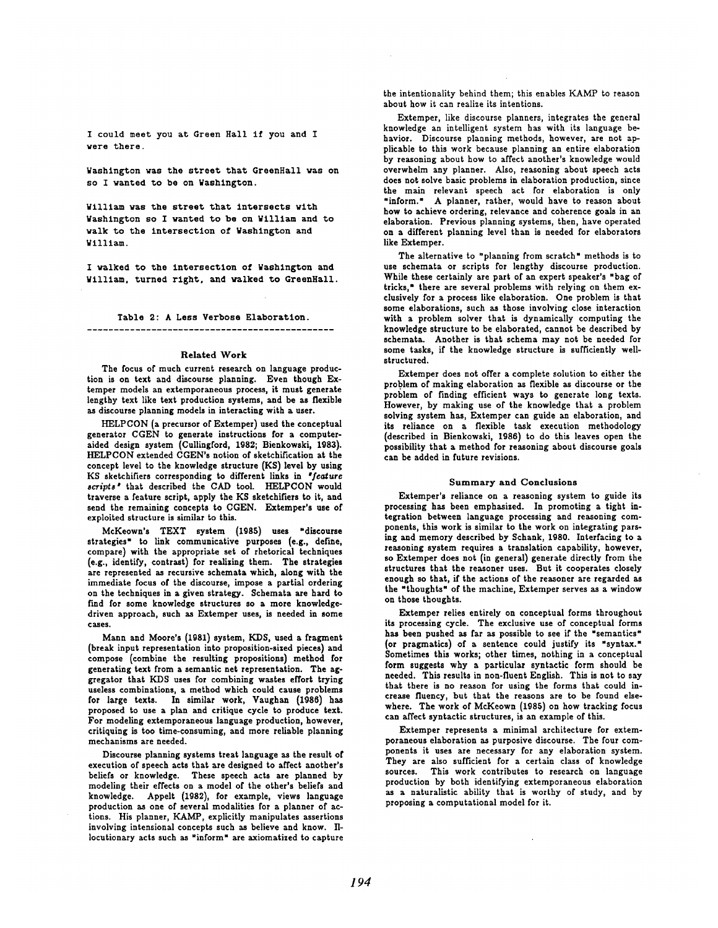I could meet you at Green Hall if you and I were there.

Washington was the street that GreenHall was on so I wanted to be on Washington.

William was the street that intersects with Washington so I wanted to be on William and to walk to the intersection of Washington and William.

I walked to the intersection of Washington and William. turned right, and walked to GreenHall.

Table 2: A Less Verbose Elaboratlon.

### Related Work

The focus of much current research on language production is on text and discourse planning. Even though Extemper models an extemporaneous process, it must generate lengthy text like text production systems, and be as flexible as discourse planning models in interacting with a user.

HELPCON (a precursor of Extemper) used the conceptual generator CGEN to generate instructions for a computeraided design system (Cullingford, 1982; Bienkowski, 1983). HELPCON extended CGEN's notion of sketchification at the concept level to the knowledge structure (KS) level by using KS sketchifiers corresponding to different links in "feature *script8 •* that described the CAD tool. HELPCON would traverse a feature script, apply the KS sketchifiers to it, and send the remaining concepts to CGEN. Extemper's use of exploited structure is similar to this.

McKeown's TEXT system (1985) uses "discourse strategies" to link communicative purposes (e.g., define, compare) with the appropriate set of rhetorical techniques (e.g., identify, contrast) for realizing them. The strategies are represented as recursive schemata which, along with the immediate focus of the discourse, impose a partial ordering on the techniques in a given strategy. Schemata are hard to find for some knowledge structures so a more knowledgedriven approach, such as Extemper uses, is needed in some cases.

Mann and Moore's (1081) system, KDS, used a fragment (break input representation into proposition-sised pieces) and compose (combine the resulting propositions) method for generating text from a semantic net representation. The aggregator that KDS uses for combining wastes effort trying useless combinations, a method which could cause problems for large texts. In similar work, Vaughan (1986) has proposed to use a plan and critique cycle to produce text. For modeling extemporaneous language production, however, critiquing is too time~consuming, and more reliable planning mechanisms are needed.

Discourse planning systems treat language as the result of execution of speech acts that are designed to affect another's beliefs or knowledge. These speech acts are planned by modeling their effects on a model of the other's beliefs and knowledge. Appelt (1082), for example, views language production as one of several modaiities for a planner of actions. His planner, KAMP, explicitly manipulates assertions involving intensional concepts such as believe and know. IIlocutionary acts such as "inform" are axiomatized to capture the intentionality behind them; this enables KAMP to reason about how it can realize its intentions.

Extemper, like discourse planners, integrates the general knowledge an intelligent system has with its language behavior. Discourse planning methods, however, are not applicable to this work because planning an entire elaboration by reasoning about how to affect another's knowledge would overwhelm any planner. Also, reasoning about speech acts does not solve basic problems in elaboration production, since the main relevant speech act for elaboration is only "inform. = A planner, rather, would have to reason about how to achieve ordering, relevance and coherence goals in an elaboration. Previous planning systems, then, have operated on a different planning level than is needed for elaborators like Extemper.

The alternative to "planning from scratch" methods is to use schemata or scripts for lengthy discourse production. While these certainly are part of an expert speaker's "bag of tricks," there are several problems with relying on them exclusively for a process like elaboration. One problem is that some elaborations, such as those involving close interaction with a problem solver that is dynamically computing the knowledge structure to be elaborated, cannot be described by schemata. Another is that schema may not be needed for some tasks, if the knowledge structure is sufficiently wellstructured.

Extemper does not offer a complete solution to either the problem of making elaboration as flexible as discourse or the problem of finding efficient ways to generate long texts. However, by making use of the knowledge that a problem solving system has, Extemper can guide an elaboration, and its reliance on a flexible task execution methodology (described in Bienkowski, 1986) to do this leaves open the possibility that a method for reasoning about discourse goals can be added in future revisions.

## Summary and Conclusions

Extemper's reliance on a reasoning system to guide its processing has been emphasized. In promoting a tight integration between language processing and reasoning components, this work is similar to the work on integrating parsing and memory described by Schank, 1980. Interfacing to a reasoning system requires a translation capability, however, so Extemper does not (in general) generate directly from the structures that the reasoner uses. But it cooperates closely enough so that, if the actions of the reasoner are regarded as the "thoughts" of the machine, Extemper serves as a window on those thoughts.

Extemper relies entirely on conceptual forms throughout its processing cycle. The exclusive use of conceptual forms has been pushed as far as possible to see if the "semantics" (or pragmatics) of a sentence could justify its "syntax." Sometimes this works; other times, nothing in a conceptual form suggests why a particular syntactic form should be needed. This results in non-fluent English. This is not to say that there is no reason for using the forms that could increase fluency, but that the reasons are to be found elsewhere. The work of McKeown (1985) on how tracking focus can affect syntactic structures, is an example of this.

Extemper represents a minimal architecture for extemporaneous elaboration as purposive discourse. The four components it uses are necessary for any elaboration system. They are also sufficient for a certain class of knowledge sources. This work contributes to research on language production by both identifying extemporaneous elaboration as a naturalistic ability that is worthy of study, and by proposing a computational model for it.